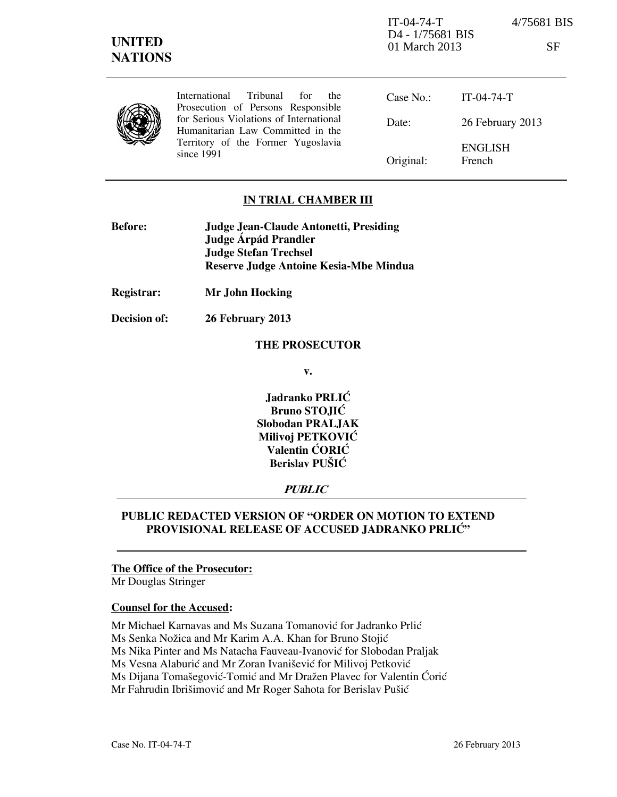International Tribunal for the Prosecution of Persons Responsible for Serious Violations of International Humanitarian Law Committed in the Territory of the Former Yugoslavia since 1991

Case No.: Date: Original: IT-04-74-T 26 February 2013 ENGLISH French

## **IN TRIAL CHAMBER III**

| <b>Before:</b> | Judge Jean-Claude Antonetti, Presiding        |
|----------------|-----------------------------------------------|
|                | Judge Árpád Prandler                          |
|                | <b>Judge Stefan Trechsel</b>                  |
|                | <b>Reserve Judge Antoine Kesia-Mbe Mindua</b> |

**Registrar: Mr John Hocking** 

**Decision of: 26 February 2013** 

#### **THE PROSECUTOR**

**v.** 

**Jadranko PRLIĆ Bruno STOJIĆ Slobodan PRALJAK Milivoj PETKOVIĆ Valentin CORIC Berislav PUŠIĆ** 

# **PUBLIC**

## **PUBLIC REDACTED VERSION OF "ORDER ON MOTION TO EXTEND PROVISIONAL RELEASE OF ACCUSED JADRANKO PRLIĆ"**

## **The Office of the Prosecutor:**

Mr Douglas Stringer

#### **Counsel for the Accused:**

Mr Michael Karnavas and Ms Suzana Tomanović for Jadranko Prlić

Ms Senka Nožica and Mr Karim A.A. Khan for Bruno Stojić

Ms Nika Pinter and Ms Natacha Fauveau-Ivanović for Slobodan Praljak

Ms Vesna Alaburić and Mr Zoran Ivanišević for Milivoj Petković

Ms Dijana Tomašegović-Tomić and Mr Dražen Plavec for Valentin Ćorić

Mr Fahrudin Ibrišimović and Mr Roger Sahota for Berislav Pušić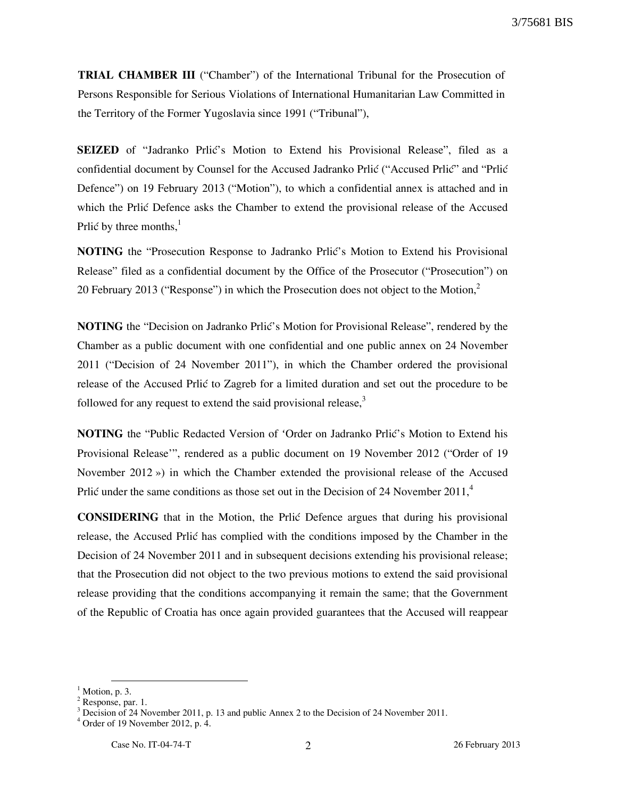**TRIAL CHAMBER III** ("Chamber") of the International Tribunal for the Prosecution of Persons Responsible for Serious Violations of International Humanitarian Law Committed in the Territory of the Former Yugoslavia since 1991 ("Tribunal"),

**SEIZED** of "Jadranko Prlić's Motion to Extend his Provisional Release", filed as a confidential document by Counsel for the Accused Jadranko Prlić ("Accused Prlić" and "Prlić Defence") on 19 February 2013 ("Motion"), to which a confidential annex is attached and in which the Prlić Defence asks the Chamber to extend the provisional release of the Accused Prlić by three months, $<sup>1</sup>$ </sup>

**NOTING** the "Prosecution Response to Jadranko Prlić's Motion to Extend his Provisional Release" filed as a confidential document by the Office of the Prosecutor ("Prosecution") on 20 February 2013 ("Response") in which the Prosecution does not object to the Motion, $2$ 

**NOTING** the "Decision on Jadranko Prlić's Motion for Provisional Release", rendered by the Chamber as a public document with one confidential and one public annex on 24 November 2011 ("Decision of 24 November 2011"), in which the Chamber ordered the provisional release of the Accused Prlić to Zagreb for a limited duration and set out the procedure to be followed for any request to extend the said provisional release, $3$ 

**NOTING** the "Public Redacted Version of 'Order on Jadranko Prlić's Motion to Extend his Provisional Release'", rendered as a public document on 19 November 2012 ("Order of 19 November 2012 ») in which the Chamber extended the provisional release of the Accused Prlić under the same conditions as those set out in the Decision of 24 November 2011, $4$ 

**CONSIDERING** that in the Motion, the Prlić Defence argues that during his provisional release, the Accused Prlić has complied with the conditions imposed by the Chamber in the Decision of 24 November 2011 and in subsequent decisions extending his provisional release; that the Prosecution did not object to the two previous motions to extend the said provisional release providing that the conditions accompanying it remain the same; that the Government of the Republic of Croatia has once again provided guarantees that the Accused will reappear

-

 $<sup>1</sup>$  Motion, p. 3.</sup>

<sup>&</sup>lt;sup>2</sup> Response, par. 1.

 $3$  Decision of 24 November 2011, p. 13 and public Annex 2 to the Decision of 24 November 2011.

 $4$  Order of 19 November 2012, p. 4.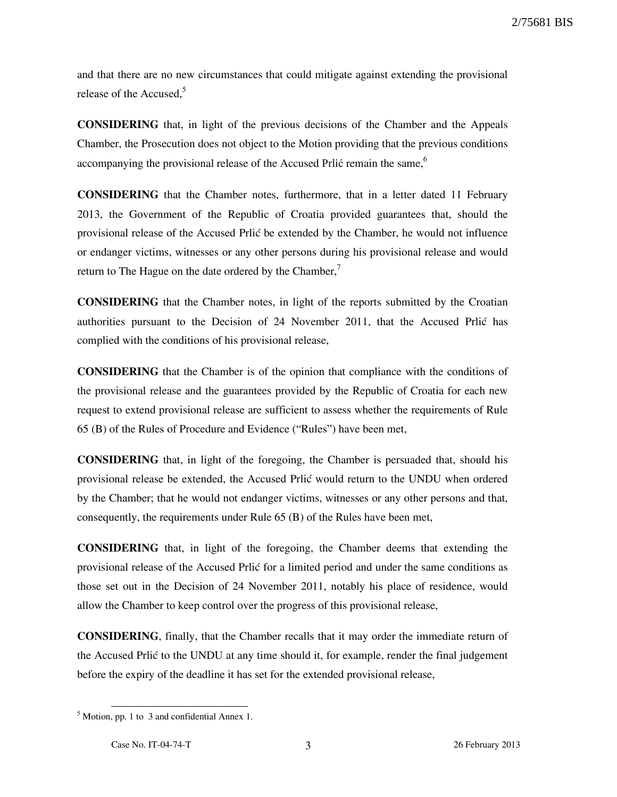and that there are no new circumstances that could mitigate against extending the provisional release of the Accused. $5$ 

**CONSIDERING** that, in light of the previous decisions of the Chamber and the Appeals Chamber, the Prosecution does not object to the Motion providing that the previous conditions accompanying the provisional release of the Accused Prlić remain the same,  $6\,$ 

**CONSIDERING** that the Chamber notes, furthermore, that in a letter dated 11 February 2013, the Government of the Republic of Croatia provided guarantees that, should the provisional release of the Accused Prlić be extended by the Chamber, he would not influence or endanger victims, witnesses or any other persons during his provisional release and would return to The Hague on the date ordered by the Chamber,<sup>7</sup>

**CONSIDERING** that the Chamber notes, in light of the reports submitted by the Croatian authorities pursuant to the Decision of 24 November 2011, that the Accused Prlić has complied with the conditions of his provisional release,

**CONSIDERING** that the Chamber is of the opinion that compliance with the conditions of the provisional release and the guarantees provided by the Republic of Croatia for each new request to extend provisional release are sufficient to assess whether the requirements of Rule 65 (B) of the Rules of Procedure and Evidence ("Rules") have been met,

**CONSIDERING** that, in light of the foregoing, the Chamber is persuaded that, should his provisional release be extended, the Accused Prlić would return to the UNDU when ordered by the Chamber; that he would not endanger victims, witnesses or any other persons and that, consequently, the requirements under Rule 65 (B) of the Rules have been met,

**CONSIDERING** that, in light of the foregoing, the Chamber deems that extending the provisional release of the Accused Prlić for a limited period and under the same conditions as those set out in the Decision of 24 November 2011, notably his place of residence, would allow the Chamber to keep control over the progress of this provisional release,

**CONSIDERING**, finally, that the Chamber recalls that it may order the immediate return of the Accused Prlić to the UNDU at any time should it, for example, render the final judgement before the expiry of the deadline it has set for the extended provisional release,

-

 $<sup>5</sup>$  Motion, pp. 1 to 3 and confidential Annex 1.</sup>